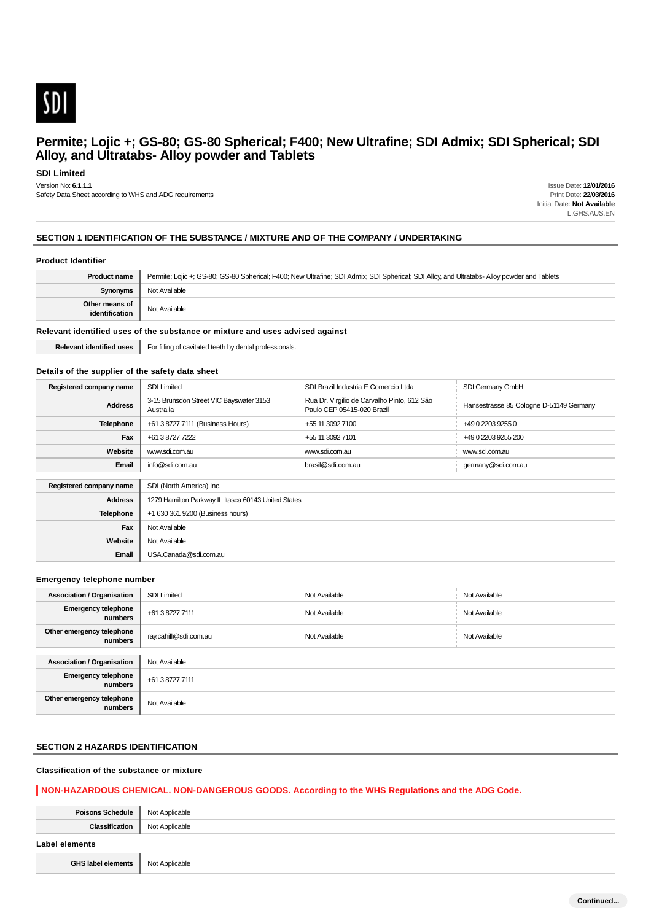

# **SDI Limited**

Version No: **6.1.1.1**

Safety Data Sheet according to WHS and ADG requirements

Issue Date: **12/01/2016** Print Date: **22/03/2016** Initial Date: **Not Available** L.GHS.AUS.EN

# **SECTION 1 IDENTIFICATION OF THE SUBSTANCE / MIXTURE AND OF THE COMPANY / UNDERTAKING**

### **Product Identifier**

| <b>Product name</b>              | Permite; Lojic +; GS-80; GS-80 Spherical; F400; New Ultrafine; SDI Admix; SDI Spherical; SDI Alloy, and Ultratabs- Alloy powder and Tablets |
|----------------------------------|---------------------------------------------------------------------------------------------------------------------------------------------|
| <b>Synonyms</b>                  | Not Available                                                                                                                               |
| Other means of<br>identification | Not Available                                                                                                                               |

#### **Relevant identified uses of the substance or mixture and uses advised against**

**Relevant identified uses** For filling of cavitated teeth by dental professionals.

### **Details of the supplier of the safety data sheet**

| Registered company name | <b>SDI Limited</b>                                   | SDI Brazil Industria E Comercio Ltda                                      | SDI Germany GmbH                        |  |  |
|-------------------------|------------------------------------------------------|---------------------------------------------------------------------------|-----------------------------------------|--|--|
| <b>Address</b>          | 3-15 Brunsdon Street VIC Bayswater 3153<br>Australia | Rua Dr. Virgilio de Carvalho Pinto, 612 São<br>Paulo CEP 05415-020 Brazil | Hansestrasse 85 Cologne D-51149 Germany |  |  |
| Telephone               | +61 3 8727 7111 (Business Hours)                     | +55 11 3092 7100<br>+49 0 2203 9255 0                                     |                                         |  |  |
| Fax                     | +61 3 8727 7222                                      | +55 11 3092 7101                                                          | +49 0 2203 9255 200                     |  |  |
| Website                 | www.sdi.com.au                                       | www.sdi.com.au                                                            | www.sdi.com.au                          |  |  |
| Email                   | info@sdi.com.au                                      | brasil@sdi.com.au                                                         | germany@sdi.com.au                      |  |  |
|                         |                                                      |                                                                           |                                         |  |  |
| Registered company name | SDI (North America) Inc.                             |                                                                           |                                         |  |  |
| <b>Address</b>          | 1279 Hamilton Parkway IL Itasca 60143 United States  |                                                                           |                                         |  |  |
| <b>Telephone</b>        | +1 630 361 9200 (Business hours)                     |                                                                           |                                         |  |  |
| Fax                     | Not Available                                        |                                                                           |                                         |  |  |
| Website                 | Not Available                                        |                                                                           |                                         |  |  |
| Email                   | USA.Canada@sdi.com.au                                |                                                                           |                                         |  |  |

## **Emergency telephone number**

| <b>Association / Organisation</b>     | <b>SDI Limited</b>    | Not Available | Not Available |  |
|---------------------------------------|-----------------------|---------------|---------------|--|
| <b>Emergency telephone</b><br>numbers | +61 3 8727 7111       | Not Available | Not Available |  |
| Other emergency telephone<br>numbers  | ray.cahill@sdi.com.au | Not Available | Not Available |  |
|                                       |                       |               |               |  |
| <b>Association / Organisation</b>     | Not Available         |               |               |  |
| <b>Emergency telephone</b><br>numbers | +61 3 8727 7111       |               |               |  |
| Other emergency telephone<br>numbers  | Not Available         |               |               |  |

# **SECTION 2 HAZARDS IDENTIFICATION**

# **Classification of the substance or mixture**

# **NON-HAZARDOUS CHEMICAL. NON-DANGEROUS GOODS. According to the WHS Regulations and the ADG Code.**

| Poisons Schedule   Not Applicable |                |
|-----------------------------------|----------------|
| Classification                    | Not Applicable |
|                                   |                |
| Label elements                    |                |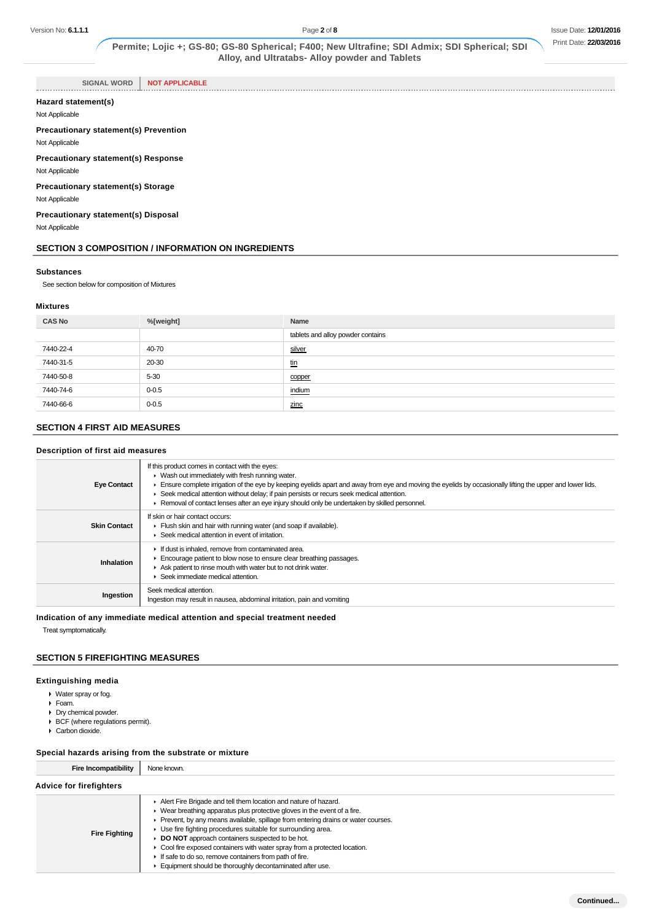**SIGNAL WORD NOT APPLICABLE**

## **Hazard statement(s)**

Not Applicable

. . . . . . . . . . . . . . .

**Precautionary statement(s) Prevention** Not Applicable

**Precautionary statement(s) Response**

Not Applicable

**Precautionary statement(s) Storage**

Not Applicable

**Precautionary statement(s) Disposal**

Not Applicable

## **SECTION 3 COMPOSITION / INFORMATION ON INGREDIENTS**

#### **Substances**

See section below for composition of Mixtures

## **Mixtures**

| <b>CAS No</b> | %[weight] | Name                              |
|---------------|-----------|-----------------------------------|
|               |           | tablets and alloy powder contains |
| 7440-22-4     | 40-70     | silver                            |
| 7440-31-5     | 20-30     | <u>tin</u>                        |
| 7440-50-8     | $5 - 30$  | copper                            |
| 7440-74-6     | $0 - 0.5$ | indium                            |
| 7440-66-6     | $0 - 0.5$ | zinc                              |

# **SECTION 4 FIRST AID MEASURES**

# **Description of first aid measures**

| <b>Eye Contact</b>  | If this product comes in contact with the eyes:<br>• Wash out immediately with fresh running water.<br>Ensure complete irrigation of the eye by keeping eyelids apart and away from eye and moving the eyelids by occasionally lifting the upper and lower lids.<br>► Seek medical attention without delay; if pain persists or recurs seek medical attention.<br>► Removal of contact lenses after an eye injury should only be undertaken by skilled personnel. |
|---------------------|-------------------------------------------------------------------------------------------------------------------------------------------------------------------------------------------------------------------------------------------------------------------------------------------------------------------------------------------------------------------------------------------------------------------------------------------------------------------|
| <b>Skin Contact</b> | If skin or hair contact occurs:<br>Flush skin and hair with running water (and soap if available).<br>▶ Seek medical attention in event of irritation.                                                                                                                                                                                                                                                                                                            |
| Inhalation          | If dust is inhaled, remove from contaminated area.<br>Encourage patient to blow nose to ensure clear breathing passages.<br>Ask patient to rinse mouth with water but to not drink water.<br>Seek immediate medical attention.                                                                                                                                                                                                                                    |
| Ingestion           | Seek medical attention.<br>Ingestion may result in nausea, abdominal irritation, pain and vomiting                                                                                                                                                                                                                                                                                                                                                                |

# **Indication of any immediate medical attention and special treatment needed**

Treat symptomatically.

# **SECTION 5 FIREFIGHTING MEASURES**

# **Extinguishing media**

- Water spray or fog.
- Foam.
- Dry chemical powder.
- BCF (where regulations permit).
- Carbon dioxide.

# **Special hazards arising from the substrate or mixture**

| <b>Fire Incompatibility</b>    | None known. |
|--------------------------------|-------------|
| <b>Advice for firefighters</b> |             |

| <b>Fire Fighting</b> | Alert Fire Brigade and tell them location and nature of hazard.<br>$\blacktriangleright$ Wear breathing apparatus plus protective gloves in the event of a fire.<br>► Prevent, by any means available, spillage from entering drains or water courses.<br>• Use fire fighting procedures suitable for surrounding area.<br>DO NOT approach containers suspected to be hot.<br>• Cool fire exposed containers with water spray from a protected location.<br>If safe to do so, remove containers from path of fire.<br>Equipment should be thoroughly decontaminated after use. |
|----------------------|--------------------------------------------------------------------------------------------------------------------------------------------------------------------------------------------------------------------------------------------------------------------------------------------------------------------------------------------------------------------------------------------------------------------------------------------------------------------------------------------------------------------------------------------------------------------------------|
|----------------------|--------------------------------------------------------------------------------------------------------------------------------------------------------------------------------------------------------------------------------------------------------------------------------------------------------------------------------------------------------------------------------------------------------------------------------------------------------------------------------------------------------------------------------------------------------------------------------|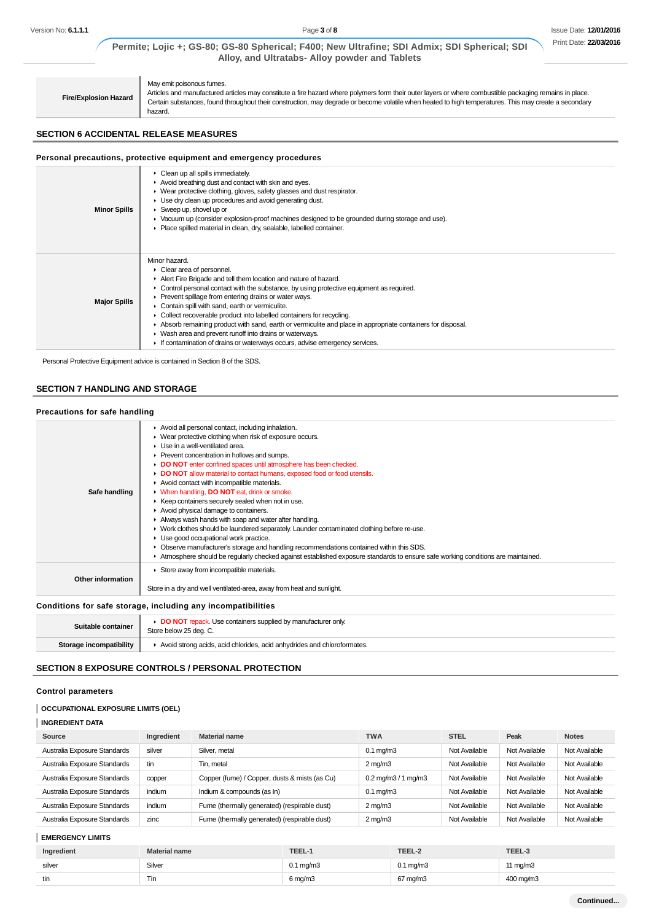```
Fire/Explosion Hazard
```
May emit poisonous fumes.

Articles and manufactured articles may constitute a fire hazard where polymers form their outer layers or where combustible packaging remains in place. Certain substances, found throughout their construction, may degrade or become volatile when heated to high temperatures. This may create a secondary hazard.

# **SECTION 6 ACCIDENTAL RELEASE MEASURES**

## **Personal precautions, protective equipment and emergency procedures**

| <b>Minor Spills</b> | $\triangleright$ Clean up all spills immediately.<br>Avoid breathing dust and contact with skin and eyes.<br>▶ Wear protective clothing, gloves, safety glasses and dust respirator.<br>▶ Use dry clean up procedures and avoid generating dust.<br>$\blacktriangleright$ Sweep up, shovel up or<br>► Vacuum up (consider explosion-proof machines designed to be grounded during storage and use).<br>• Place spilled material in clean, dry, sealable, labelled container.                                                                                                                                                                         |
|---------------------|------------------------------------------------------------------------------------------------------------------------------------------------------------------------------------------------------------------------------------------------------------------------------------------------------------------------------------------------------------------------------------------------------------------------------------------------------------------------------------------------------------------------------------------------------------------------------------------------------------------------------------------------------|
| <b>Major Spills</b> | Minor hazard.<br>• Clear area of personnel.<br>Alert Fire Brigade and tell them location and nature of hazard.<br>Control personal contact with the substance, by using protective equipment as required.<br>▶ Prevent spillage from entering drains or water ways.<br>Contain spill with sand, earth or vermiculite.<br>Collect recoverable product into labelled containers for recycling.<br>Absorb remaining product with sand, earth or vermiculite and place in appropriate containers for disposal.<br>• Wash area and prevent runoff into drains or waterways.<br>If contamination of drains or waterways occurs, advise emergency services. |

Personal Protective Equipment advice is contained in Section 8 of the SDS.

# **SECTION 7 HANDLING AND STORAGE**

| Precautions for safe handling |                                                                                                                                                                                                                                                                                                                                                                                                                                                                                                                                                                                                                                                                                                                                                                                                                                                                                                                                                                                                     |
|-------------------------------|-----------------------------------------------------------------------------------------------------------------------------------------------------------------------------------------------------------------------------------------------------------------------------------------------------------------------------------------------------------------------------------------------------------------------------------------------------------------------------------------------------------------------------------------------------------------------------------------------------------------------------------------------------------------------------------------------------------------------------------------------------------------------------------------------------------------------------------------------------------------------------------------------------------------------------------------------------------------------------------------------------|
| Safe handling                 | Avoid all personal contact, including inhalation.<br>▶ Wear protective clothing when risk of exposure occurs.<br>$\blacktriangleright$ Use in a well-ventilated area.<br>▶ Prevent concentration in hollows and sumps.<br>DO NOT enter confined spaces until atmosphere has been checked.<br>• DO NOT allow material to contact humans, exposed food or food utensils.<br>Avoid contact with incompatible materials.<br>• When handling, DO NOT eat, drink or smoke.<br>▶ Keep containers securely sealed when not in use.<br>Avoid physical damage to containers.<br>Always wash hands with soap and water after handling.<br>► Work clothes should be laundered separately. Launder contaminated clothing before re-use.<br>• Use good occupational work practice.<br>• Observe manufacturer's storage and handling recommendations contained within this SDS.<br>Atmosphere should be regularly checked against established exposure standards to ensure safe working conditions are maintained. |
| Other information             | Store away from incompatible materials.<br>Store in a dry and well ventilated-area, away from heat and sunlight.                                                                                                                                                                                                                                                                                                                                                                                                                                                                                                                                                                                                                                                                                                                                                                                                                                                                                    |

## **Conditions for safe storage, including any incompatibilities**

| Suitable container      | <b>DO NOT</b> repack. Use containers supplied by manufacturer only<br>Store below 25 deg. C. |
|-------------------------|----------------------------------------------------------------------------------------------|
| Storage incompatibility | Avoid strong acids, acid chlorides, acid anhydrides and chloroformates.                      |

# **SECTION 8 EXPOSURE CONTROLS / PERSONAL PROTECTION**

#### **Control parameters**

#### **OCCUPATIONAL EXPOSURE LIMITS (OEL)**

# **INGREDIENT DATA**

| Source                       | Ingredient | <b>Material name</b>                          | <b>TWA</b>                                  | <b>STEL</b>   | Peak          | <b>Notes</b>  |
|------------------------------|------------|-----------------------------------------------|---------------------------------------------|---------------|---------------|---------------|
| Australia Exposure Standards | silver     | Silver, metal                                 | $0.1 \text{ mg/m}$ 3                        | Not Available | Not Available | Not Available |
| Australia Exposure Standards | tin        | Tin, metal                                    | $2 \text{ mg/m}$                            | Not Available | Not Available | Not Available |
| Australia Exposure Standards | copper     | Copper (fume) / Copper, dusts & mists (as Cu) | $0.2 \,\mathrm{mq/m}3 / 1 \,\mathrm{mq/m}3$ | Not Available | Not Available | Not Available |
| Australia Exposure Standards | indium     | Indium & compounds (as In)                    | $0.1 \text{ mg/m}$ 3                        | Not Available | Not Available | Not Available |
| Australia Exposure Standards | indium     | Fume (thermally generated) (respirable dust)  | $2 \text{ mg/m}$                            | Not Available | Not Available | Not Available |
| Australia Exposure Standards | zinc       | Fume (thermally generated) (respirable dust)  | $2 \text{ mg/m}$                            | Not Available | Not Available | Not Available |

### **EMERGENCY LIMITS**

| Ingredient | <b>Material name</b> | TEEL-1               | TEEL-2               | TEEL-3    |
|------------|----------------------|----------------------|----------------------|-----------|
| silver     | Silver               | $0.1 \text{ ma/m}$ 3 | $0.1 \text{ mg/m}$ 3 | 11 mg/m3  |
| tin        | Tin                  | 6 mg/m3              | 67 mg/m3             | 400 mg/m3 |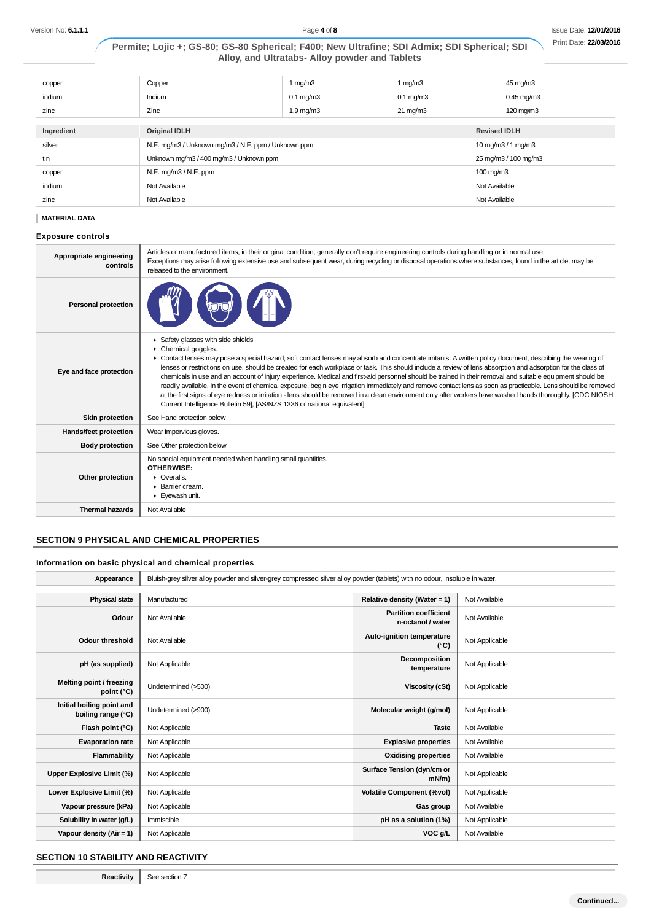| copper     | Copper                                              | 1 mg/m $3$         | 1 mg/m $3$           |                        | 45 mg/m3        |
|------------|-----------------------------------------------------|--------------------|----------------------|------------------------|-----------------|
| indium     | Indium                                              | $0.1$ mg/m $3$     | $0.1 \text{ mg/m}$ 3 |                        | $0.45$ mg/m $3$ |
| zinc       | Zinc                                                | $1.9 \text{ mg/m}$ | $21 \text{ mg/m}$    |                        | 120 mg/m3       |
|            |                                                     |                    |                      |                        |                 |
| Ingredient | <b>Original IDLH</b>                                |                    |                      | <b>Revised IDLH</b>    |                 |
| silver     | N.E. mg/m3 / Unknown mg/m3 / N.E. ppm / Unknown ppm |                    |                      | 10 mg/m $3/1$ mg/m $3$ |                 |
| tin        | Unknown mg/m3 / 400 mg/m3 / Unknown ppm             |                    |                      | 25 mg/m3 / 100 mg/m3   |                 |
| copper     | N.E. mg/m3 / N.E. ppm                               |                    | $100 \text{ mg/m}$ 3 |                        |                 |
| indium     | Not Available                                       |                    | Not Available        |                        |                 |
| zinc       | Not Available                                       |                    | Not Available        |                        |                 |

#### **MATERIAL DATA**

#### **Exposure controls**

| Appropriate engineering<br>controls | Articles or manufactured items, in their original condition, generally don't require engineering controls during handling or in normal use.<br>Exceptions may arise following extensive use and subsequent wear, during recycling or disposal operations where substances, found in the article, may be<br>released to the environment.                                                                                                                                                                                                                                                                                                                                                                                                                                                                                                                                                                                                                                          |
|-------------------------------------|----------------------------------------------------------------------------------------------------------------------------------------------------------------------------------------------------------------------------------------------------------------------------------------------------------------------------------------------------------------------------------------------------------------------------------------------------------------------------------------------------------------------------------------------------------------------------------------------------------------------------------------------------------------------------------------------------------------------------------------------------------------------------------------------------------------------------------------------------------------------------------------------------------------------------------------------------------------------------------|
| <b>Personal protection</b>          |                                                                                                                                                                                                                                                                                                                                                                                                                                                                                                                                                                                                                                                                                                                                                                                                                                                                                                                                                                                  |
| Eye and face protection             | Safety glasses with side shields<br>۰<br>$\triangleright$ Chemical goggles.<br>• Contact lenses may pose a special hazard; soft contact lenses may absorb and concentrate irritants. A written policy document, describing the wearing of<br>lenses or restrictions on use, should be created for each workplace or task. This should include a review of lens absorption and adsorption for the class of<br>chemicals in use and an account of injury experience. Medical and first-aid personnel should be trained in their removal and suitable equipment should be<br>readily available. In the event of chemical exposure, begin eye irrigation immediately and remove contact lens as soon as practicable. Lens should be removed<br>at the first signs of eye redness or irritation - lens should be removed in a clean environment only after workers have washed hands thoroughly. [CDC NIOSH<br>Current Intelligence Bulletin 59, [AS/NZS 1336 or national equivalent] |
| Skin protection                     | See Hand protection below                                                                                                                                                                                                                                                                                                                                                                                                                                                                                                                                                                                                                                                                                                                                                                                                                                                                                                                                                        |
| <b>Hands/feet protection</b>        | Wear impervious gloves.                                                                                                                                                                                                                                                                                                                                                                                                                                                                                                                                                                                                                                                                                                                                                                                                                                                                                                                                                          |
| <b>Body protection</b>              | See Other protection below                                                                                                                                                                                                                                                                                                                                                                                                                                                                                                                                                                                                                                                                                                                                                                                                                                                                                                                                                       |
| Other protection                    | No special equipment needed when handling small quantities.<br>OTHERWISE:<br>$\triangleright$ Overalls.<br>▶ Barrier cream.<br>Eyewash unit.                                                                                                                                                                                                                                                                                                                                                                                                                                                                                                                                                                                                                                                                                                                                                                                                                                     |
| <b>Thermal hazards</b>              | Not Available                                                                                                                                                                                                                                                                                                                                                                                                                                                                                                                                                                                                                                                                                                                                                                                                                                                                                                                                                                    |

# **SECTION 9 PHYSICAL AND CHEMICAL PROPERTIES**

# **Information on basic physical and chemical properties**

| Appearance                                      | Bluish-grey silver alloy powder and silver-grey compressed silver alloy powder (tablets) with no odour, insoluble in water. |                                                   |                |
|-------------------------------------------------|-----------------------------------------------------------------------------------------------------------------------------|---------------------------------------------------|----------------|
|                                                 |                                                                                                                             |                                                   |                |
| <b>Physical state</b>                           | Manufactured                                                                                                                | Relative density (Water = 1)                      | Not Available  |
| Odour                                           | Not Available                                                                                                               | <b>Partition coefficient</b><br>n-octanol / water | Not Available  |
| <b>Odour threshold</b>                          | Not Available                                                                                                               | Auto-ignition temperature<br>$(^{\circ}C)$        | Not Applicable |
| pH (as supplied)                                | Not Applicable                                                                                                              | Decomposition<br>temperature                      | Not Applicable |
| Melting point / freezing<br>point $(^{\circ}C)$ | Undetermined (>500)                                                                                                         | <b>Viscosity (cSt)</b>                            | Not Applicable |
| Initial boiling point and<br>boiling range (°C) | Undetermined (>900)                                                                                                         | Molecular weight (g/mol)                          | Not Applicable |
| Flash point (°C)                                | Not Applicable                                                                                                              | <b>Taste</b>                                      | Not Available  |
| <b>Evaporation rate</b>                         | Not Applicable                                                                                                              | <b>Explosive properties</b>                       | Not Available  |
| Flammability                                    | Not Applicable                                                                                                              | <b>Oxidising properties</b>                       | Not Available  |
| Upper Explosive Limit (%)                       | Not Applicable                                                                                                              | Surface Tension (dyn/cm or<br>$mN/m$ )            | Not Applicable |
| Lower Explosive Limit (%)                       | Not Applicable                                                                                                              | <b>Volatile Component (%vol)</b>                  | Not Applicable |
| Vapour pressure (kPa)                           | Not Applicable                                                                                                              | Gas group                                         | Not Available  |
| Solubility in water (g/L)                       | Immiscible                                                                                                                  | pH as a solution (1%)                             | Not Applicable |
| Vapour density $(Air = 1)$                      | Not Applicable                                                                                                              | VOC g/L                                           | Not Available  |

# **SECTION 10 STABILITY AND REACTIVITY**

**Reactivity** See section 7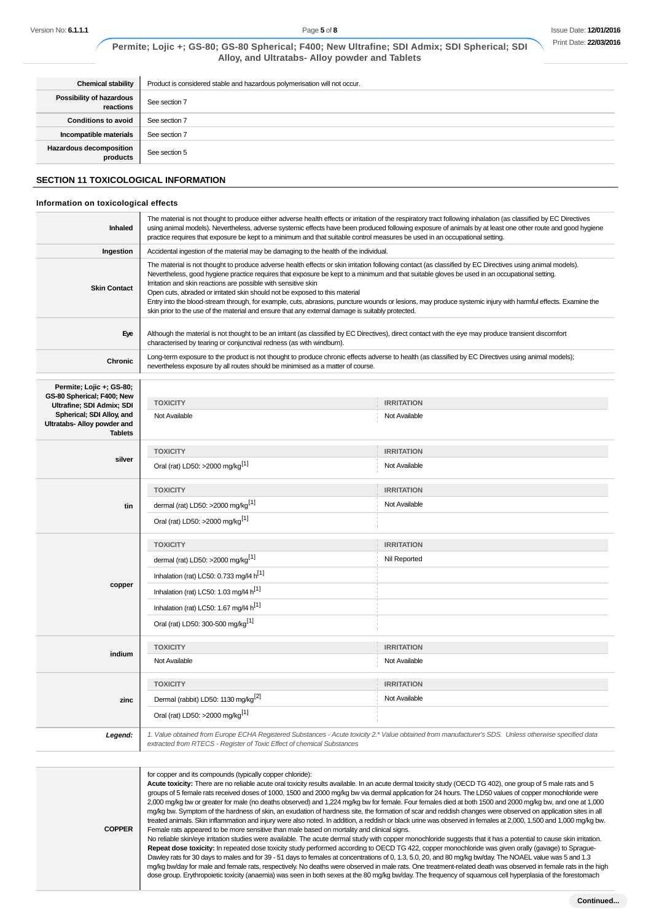| <b>Chemical stability</b>                  | Product is considered stable and hazardous polymerisation will not occur. |
|--------------------------------------------|---------------------------------------------------------------------------|
| Possibility of hazardous<br>reactions      | See section 7                                                             |
| <b>Conditions to avoid</b>                 | See section 7                                                             |
| Incompatible materials                     | See section 7                                                             |
| <b>Hazardous decomposition</b><br>products | See section 5                                                             |

## **SECTION 11 TOXICOLOGICAL INFORMATION**

#### **Information on toxicological effects**

| <b>Inhaled</b>      | The material is not thought to produce either adverse health effects or irritation of the respiratory tract following inhalation (as classified by EC Directives<br>using animal models). Nevertheless, adverse systemic effects have been produced following exposure of animals by at least one other route and good hygiene<br>practice requires that exposure be kept to a minimum and that suitable control measures be used in an occupational setting.                                                                                                                                                                                                                                                                 |
|---------------------|-------------------------------------------------------------------------------------------------------------------------------------------------------------------------------------------------------------------------------------------------------------------------------------------------------------------------------------------------------------------------------------------------------------------------------------------------------------------------------------------------------------------------------------------------------------------------------------------------------------------------------------------------------------------------------------------------------------------------------|
| Ingestion           | Accidental ingestion of the material may be damaging to the health of the individual.                                                                                                                                                                                                                                                                                                                                                                                                                                                                                                                                                                                                                                         |
| <b>Skin Contact</b> | The material is not thought to produce adverse health effects or skin irritation following contact (as classified by EC Directives using animal models).<br>Nevertheless, good hygiene practice requires that exposure be kept to a minimum and that suitable gloves be used in an occupational setting.<br>Irritation and skin reactions are possible with sensitive skin<br>Open cuts, abraded or irritated skin should not be exposed to this material<br>Entry into the blood-stream through, for example, cuts, abrasions, puncture wounds or lesions, may produce systemic injury with harmful effects. Examine the<br>skin prior to the use of the material and ensure that any external damage is suitably protected. |
| Eye                 | Although the material is not thought to be an irritant (as classified by EC Directives), direct contact with the eye may produce transient discomfort<br>characterised by tearing or conjunctival redness (as with windburn).                                                                                                                                                                                                                                                                                                                                                                                                                                                                                                 |
| Chronic             | Long-term exposure to the product is not thought to produce chronic effects adverse to health (as classified by EC Directives using animal models);<br>nevertheless exposure by all routes should be minimised as a matter of course.                                                                                                                                                                                                                                                                                                                                                                                                                                                                                         |

| Permite; Lojic +; GS-80;<br>GS-80 Spherical; F400; New                     |                                                                        |                                                                                                                                                       |  |
|----------------------------------------------------------------------------|------------------------------------------------------------------------|-------------------------------------------------------------------------------------------------------------------------------------------------------|--|
| Ultrafine; SDI Admix; SDI                                                  | <b>TOXICITY</b>                                                        | <b>IRRITATION</b>                                                                                                                                     |  |
| Spherical; SDI Alloy, and<br>Ultratabs- Alloy powder and<br><b>Tablets</b> | Not Available                                                          | Not Available                                                                                                                                         |  |
|                                                                            | <b>TOXICITY</b>                                                        | <b>IRRITATION</b>                                                                                                                                     |  |
| silver                                                                     | Oral (rat) LD50: >2000 mg/kg <sup>[1]</sup>                            | Not Available                                                                                                                                         |  |
|                                                                            | <b>TOXICITY</b>                                                        | <b>IRRITATION</b>                                                                                                                                     |  |
| tin                                                                        | dermal (rat) LD50: >2000 mg/kg <sup>[1]</sup>                          | Not Available                                                                                                                                         |  |
|                                                                            | Oral (rat) LD50: >2000 mg/kg <sup>[1]</sup>                            |                                                                                                                                                       |  |
|                                                                            | <b>TOXICITY</b>                                                        | <b>IRRITATION</b>                                                                                                                                     |  |
|                                                                            | dermal (rat) LD50: >2000 mg/kg <sup>[1]</sup>                          | Nil Reported                                                                                                                                          |  |
|                                                                            | Inhalation (rat) LC50: 0.733 mg/l4 h <sup>[1]</sup>                    |                                                                                                                                                       |  |
| copper                                                                     | Inhalation (rat) LC50: 1.03 mg/l4 h <sup>[1]</sup>                     |                                                                                                                                                       |  |
|                                                                            | Inhalation (rat) LC50: 1.67 mg/l4 h <sup>[1]</sup>                     |                                                                                                                                                       |  |
|                                                                            | Oral (rat) LD50: 300-500 mg/kg <sup>[1]</sup>                          |                                                                                                                                                       |  |
|                                                                            | <b>TOXICITY</b>                                                        | <b>IRRITATION</b>                                                                                                                                     |  |
| indium                                                                     | Not Available                                                          | Not Available                                                                                                                                         |  |
|                                                                            | <b>TOXICITY</b>                                                        | <b>IRRITATION</b>                                                                                                                                     |  |
| zinc                                                                       | Dermal (rabbit) LD50: 1130 mg/kg <sup>[2]</sup>                        | Not Available                                                                                                                                         |  |
|                                                                            | Oral (rat) LD50: >2000 mg/kg <sup>[1]</sup>                            |                                                                                                                                                       |  |
| Legend:                                                                    | extracted from RTECS - Register of Toxic Effect of chemical Substances | 1. Value obtained from Europe ECHA Registered Substances - Acute toxicity 2.* Value obtained from manufacturer's SDS. Unless otherwise specified data |  |

**COPPER** for copper and its compounds (typically copper chloride): **Acute toxicity:** There are no reliable acute oral toxicity results available. In an acute dermal toxicity study (OECD TG 402), one group of 5 male rats and 5 groups of 5 female rats received doses of 1000, 1500 and 2000 mg/kg bw via dermal application for 24 hours. The LD50 values of copper monochloride were 2,000 mg/kg bw or greater for male (no deaths observed) and 1,224 mg/kg bw for female. Four females died at both 1500 and 2000 mg/kg bw, and one at 1,000 mg/kg bw. Symptom of the hardness of skin, an exudation of hardness site, the formation of scar and reddish changes were observed on application sites in all treated animals. Skin inflammation and injury were also noted. In addition, a reddish or black urine was observed in females at 2,000, 1,500 and 1,000 mg/kg bw. Female rats appeared to be more sensitive than male based on mortality and clinical signs. No reliable skin/eye irritation studies were available. The acute dermal study with copper monochloride suggests that it has a potential to cause skin irritation. **Repeat dose toxicity:** In repeated dose toxicity study performed according to OECD TG 422, copper monochloride was given orally (gavage) to Sprague-Dawley rats for 30 days to males and for 39 - 51 days to females at concentrations of 0, 1.3, 5.0, 20, and 80 mg/kg bw/day. The NOAEL value was 5 and 1.3 mg/kg bw/day for male and female rats, respectively. No deaths were observed in male rats. One treatment-related death was observed in female rats in the high

dose group. Erythropoietic toxicity (anaemia) was seen in both sexes at the 80 mg/kg bw/day. The frequency of squamous cell hyperplasia of the forestomach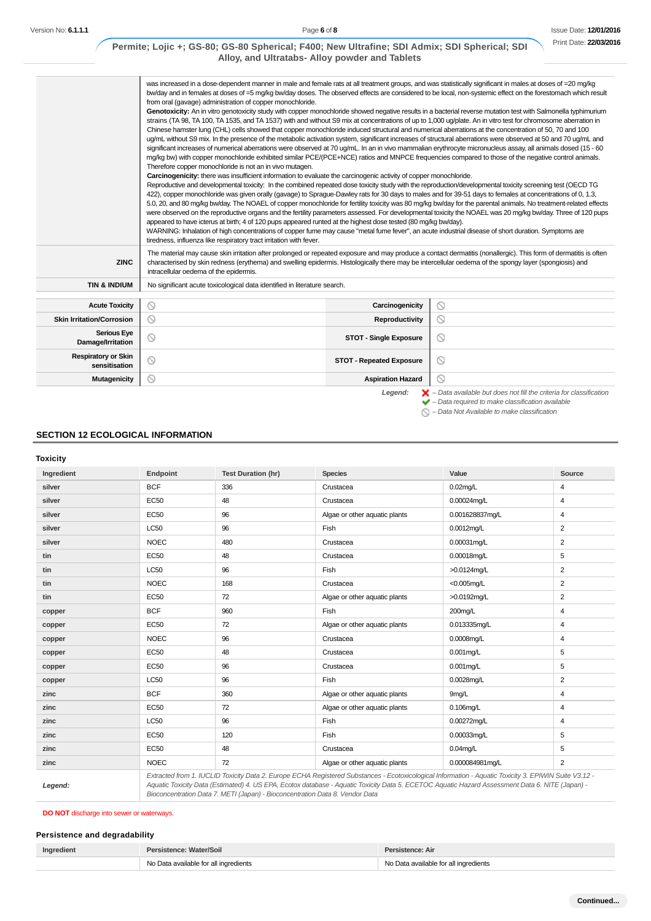|                                             | was increased in a dose-dependent manner in male and female rats at all treatment groups, and was statistically significant in males at doses of =20 mg/kg<br>bw/day and in females at doses of =5 mg/kg bw/day doses. The observed effects are considered to be local, non-systemic effect on the forestomach which result<br>from oral (gavage) administration of copper monochloride.<br>Genotoxicity: An in vitro genotoxicity study with copper monochloride showed negative results in a bacterial reverse mutation test with Salmonella typhimurium<br>strains (TA 98, TA 100, TA 1535, and TA 1537) with and without S9 mix at concentrations of up to 1,000 ug/plate. An in vitro test for chromosome aberration in<br>Chinese hamster lung (CHL) cells showed that copper monochloride induced structural and numerical aberrations at the concentration of 50, 70 and 100<br>ug/mL without S9 mix. In the presence of the metabolic activation system, significant increases of structural aberrations were observed at 50 and 70 ug/mL and<br>significant increases of numerical aberrations were observed at 70 ug/mL. In an in vivo mammalian erythrocyte micronucleus assay, all animals dosed (15 - 60<br>mg/kg bw) with copper monochloride exhibited similar PCE/(PCE+NCE) ratios and MNPCE frequencies compared to those of the negative control animals.<br>Therefore copper monochloride is not an in vivo mutagen.<br>Carcinogenicity: there was insufficient information to evaluate the carcinogenic activity of copper monochloride.<br>Reproductive and developmental toxicity: In the combined repeated dose toxicity study with the reproduction/developmental toxicity screening test (OECD TG<br>422), copper monochloride was given orally (gavage) to Sprague-Dawley rats for 30 days to males and for 39-51 days to females at concentrations of 0, 1.3,<br>5.0, 20, and 80 mg/kg bw/day. The NOAEL of copper monochloride for fertility toxicity was 80 mg/kg bw/day for the parental animals. No treatment-related effects<br>were observed on the reproductive organs and the fertility parameters assessed. For developmental toxicity the NOAEL was 20 mg/kg bw/day. Three of 120 pups<br>appeared to have icterus at birth; 4 of 120 pups appeared runted at the highest dose tested (80 mg/kg bw/day). |                |
|---------------------------------------------|------------------------------------------------------------------------------------------------------------------------------------------------------------------------------------------------------------------------------------------------------------------------------------------------------------------------------------------------------------------------------------------------------------------------------------------------------------------------------------------------------------------------------------------------------------------------------------------------------------------------------------------------------------------------------------------------------------------------------------------------------------------------------------------------------------------------------------------------------------------------------------------------------------------------------------------------------------------------------------------------------------------------------------------------------------------------------------------------------------------------------------------------------------------------------------------------------------------------------------------------------------------------------------------------------------------------------------------------------------------------------------------------------------------------------------------------------------------------------------------------------------------------------------------------------------------------------------------------------------------------------------------------------------------------------------------------------------------------------------------------------------------------------------------------------------------------------------------------------------------------------------------------------------------------------------------------------------------------------------------------------------------------------------------------------------------------------------------------------------------------------------------------------------------------------------------------------------------------------------------------------------------------------------------------------------------------------------------------|----------------|
|                                             | WARNING: Inhalation of high concentrations of copper fume may cause "metal fume fever", an acute industrial disease of short duration. Symptoms are<br>tiredness, influenza like respiratory tract irritation with fever.<br>The material may cause skin irritation after prolonged or repeated exposure and may produce a contact dermatitis (nonallergic). This form of dermatitis is often                                                                                                                                                                                                                                                                                                                                                                                                                                                                                                                                                                                                                                                                                                                                                                                                                                                                                                                                                                                                                                                                                                                                                                                                                                                                                                                                                                                                                                                                                                                                                                                                                                                                                                                                                                                                                                                                                                                                                  |                |
| <b>ZINC</b>                                 | characterised by skin redness (erythema) and swelling epidermis. Histologically there may be intercellular oedema of the spongy layer (spongiosis) and<br>intracellular oedema of the epidermis.                                                                                                                                                                                                                                                                                                                                                                                                                                                                                                                                                                                                                                                                                                                                                                                                                                                                                                                                                                                                                                                                                                                                                                                                                                                                                                                                                                                                                                                                                                                                                                                                                                                                                                                                                                                                                                                                                                                                                                                                                                                                                                                                               |                |
| <b>TIN &amp; INDIUM</b>                     | No significant acute toxicological data identified in literature search.                                                                                                                                                                                                                                                                                                                                                                                                                                                                                                                                                                                                                                                                                                                                                                                                                                                                                                                                                                                                                                                                                                                                                                                                                                                                                                                                                                                                                                                                                                                                                                                                                                                                                                                                                                                                                                                                                                                                                                                                                                                                                                                                                                                                                                                                       |                |
| <b>Acute Toxicity</b>                       | $\circ$<br>Carcinogenicity                                                                                                                                                                                                                                                                                                                                                                                                                                                                                                                                                                                                                                                                                                                                                                                                                                                                                                                                                                                                                                                                                                                                                                                                                                                                                                                                                                                                                                                                                                                                                                                                                                                                                                                                                                                                                                                                                                                                                                                                                                                                                                                                                                                                                                                                                                                     | $\circledcirc$ |
| <b>Skin Irritation/Corrosion</b>            | $\circ$<br>Reproductivity                                                                                                                                                                                                                                                                                                                                                                                                                                                                                                                                                                                                                                                                                                                                                                                                                                                                                                                                                                                                                                                                                                                                                                                                                                                                                                                                                                                                                                                                                                                                                                                                                                                                                                                                                                                                                                                                                                                                                                                                                                                                                                                                                                                                                                                                                                                      | $\circledcirc$ |
| <b>Serious Eye</b><br>Damage/Irritation     | $\circledcirc$<br><b>STOT - Single Exposure</b>                                                                                                                                                                                                                                                                                                                                                                                                                                                                                                                                                                                                                                                                                                                                                                                                                                                                                                                                                                                                                                                                                                                                                                                                                                                                                                                                                                                                                                                                                                                                                                                                                                                                                                                                                                                                                                                                                                                                                                                                                                                                                                                                                                                                                                                                                                | $\circledcirc$ |
| <b>Respiratory or Skin</b><br>sensitisation | O<br><b>STOT - Repeated Exposure</b>                                                                                                                                                                                                                                                                                                                                                                                                                                                                                                                                                                                                                                                                                                                                                                                                                                                                                                                                                                                                                                                                                                                                                                                                                                                                                                                                                                                                                                                                                                                                                                                                                                                                                                                                                                                                                                                                                                                                                                                                                                                                                                                                                                                                                                                                                                           | $\circledcirc$ |

# **SECTION 12 ECOLOGICAL INFORMATION**

## **Toxicity**

| Ingredient | Endpoint    | <b>Test Duration (hr)</b> | <b>Species</b>                | Value           | Source         |
|------------|-------------|---------------------------|-------------------------------|-----------------|----------------|
| silver     | <b>BCF</b>  | 336                       | Crustacea                     | $0.02$ mg/L     | $\overline{4}$ |
| silver     | EC50        | 48                        | Crustacea                     | 0.00024mq/L     | $\overline{4}$ |
| silver     | <b>EC50</b> | 96                        | Algae or other aquatic plants | 0.001628837mg/L | 4              |
| silver     | <b>LC50</b> | 96                        | Fish                          | 0.0012mq/L      | $\overline{2}$ |
| silver     | <b>NOEC</b> | 480                       | Crustacea                     | 0.00031mq/L     | $\overline{2}$ |
| tin        | EC50        | 48                        | Crustacea                     | 0.00018mg/L     | 5              |
| tin        | <b>LC50</b> | 96                        | Fish                          | >0.0124mq/L     | $\overline{2}$ |
| tin        | <b>NOEC</b> | 168                       | Crustacea                     | $<$ 0.005mg/L   | $\overline{2}$ |
| tin        | <b>EC50</b> | 72                        | Algae or other aquatic plants | >0.0192mq/L     | $\overline{2}$ |
| copper     | <b>BCF</b>  | 960                       | Fish                          | 200mg/L         | 4              |
| copper     | <b>EC50</b> | 72                        | Algae or other aquatic plants | 0.013335mg/L    | $\overline{4}$ |
| copper     | <b>NOEC</b> | 96                        | Crustacea                     | 0.0008mg/L      | 4              |
| copper     | <b>EC50</b> | 48                        | Crustacea                     | $0.001$ mg/L    | 5              |
| copper     | EC50        | 96                        | Crustacea                     | $0.001$ mg/L    | 5              |
| copper     | <b>LC50</b> | 96                        | Fish                          | 0.0028mg/L      | $\overline{2}$ |
| zinc       | <b>BCF</b>  | 360                       | Algae or other aquatic plants | 9mg/L           | 4              |
| zinc       | <b>EC50</b> | 72                        | Algae or other aquatic plants | $0.106$ ma/L    | 4              |
| zinc       | <b>LC50</b> | 96                        | Fish                          | 0.00272mq/L     | 4              |
| zinc       | <b>EC50</b> | 120                       | Fish                          | 0.00033mg/L     | 5              |
| zinc       | <b>EC50</b> | 48                        | Crustacea                     | $0.04$ mg/L     | 5              |
| zinc       | <b>NOEC</b> | 72                        | Algae or other aquatic plants | 0.000084981ma/L | $\overline{2}$ |

# **DO NOT** discharge into sewer or waterways.

# **Persistence and degradability**

| Ingredient | Persistence: Water/Soil               | Persistence: Air                      |
|------------|---------------------------------------|---------------------------------------|
|            | No Data available for all ingredients | No Data available for all ingredients |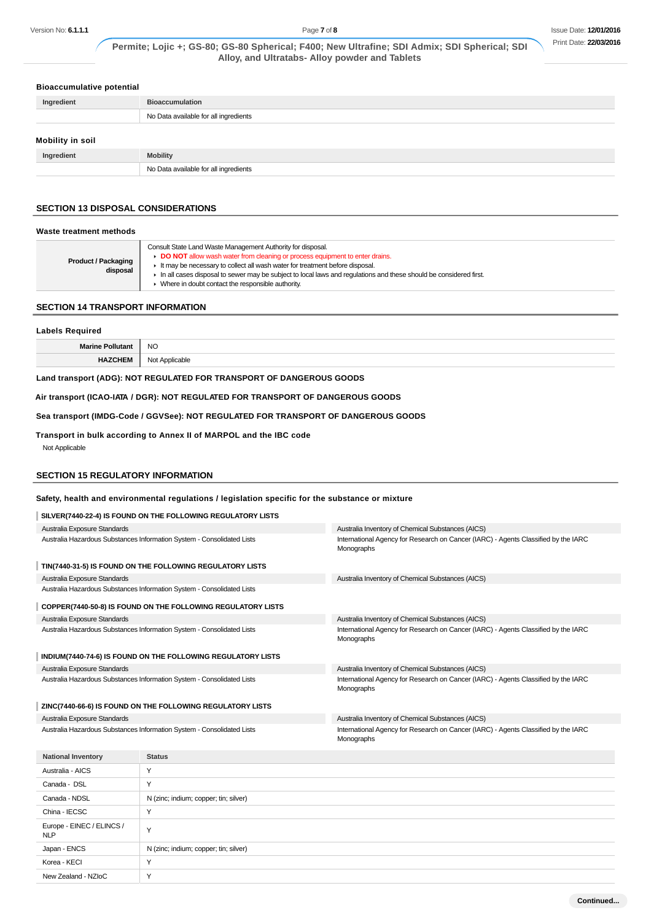## **Bioaccumulative potential**

| Ingredient       | <b>Bioaccumulation</b>                |  |
|------------------|---------------------------------------|--|
|                  | No Data available for all ingredients |  |
| Mobility in soil |                                       |  |
| Ingredient       | <b>Mobility</b>                       |  |
|                  | No Data available for all ingredients |  |

# **SECTION 13 DISPOSAL CONSIDERATIONS**

| Waste treatment methods                |                                                                                                                                                                                                                                                                                                                                                                                                        |
|----------------------------------------|--------------------------------------------------------------------------------------------------------------------------------------------------------------------------------------------------------------------------------------------------------------------------------------------------------------------------------------------------------------------------------------------------------|
| <b>Product / Packaging</b><br>disposal | Consult State Land Waste Management Authority for disposal.<br>DO NOT allow wash water from cleaning or process equipment to enter drains.<br>It may be necessary to collect all wash water for treatment before disposal.<br>In all cases disposal to sewer may be subject to local laws and requlations and these should be considered first.<br>• Where in doubt contact the responsible authority. |

# **SECTION 14 TRANSPORT INFORMATION**

| <b>Labels Required</b>                                               |                |  |
|----------------------------------------------------------------------|----------------|--|
| <b>Marine Pollutant</b>                                              | NO             |  |
| <b>HAZCHEM</b>                                                       | Not Applicable |  |
| Land transport (ADG): NOT REGULATED FOR TRANSPORT OF DANGEROUS GOODS |                |  |

## **Air transport (ICAO-IATA / DGR): NOT REGULATED FOR TRANSPORT OF DANGEROUS GOODS**

**Sea transport (IMDG-Code / GGVSee): NOT REGULATED FOR TRANSPORT OF DANGEROUS GOODS**

# **Transport in bulk according to Annex II of MARPOL and the IBC code**

Not Applicable

#### **SECTION 15 REGULATORY INFORMATION**

# **Safety, health and environmental regulations / legislation specific for the substance or mixture**

| SILVER(7440-22-4) IS FOUND ON THE FOLLOWING REGULATORY LISTS           |                                                                        |                                                                                                  |  |
|------------------------------------------------------------------------|------------------------------------------------------------------------|--------------------------------------------------------------------------------------------------|--|
| Australia Exposure Standards                                           |                                                                        | Australia Inventory of Chemical Substances (AICS)                                                |  |
| Australia Hazardous Substances Information System - Consolidated Lists |                                                                        | International Agency for Research on Cancer (IARC) - Agents Classified by the IARC<br>Monographs |  |
| TIN(7440-31-5) IS FOUND ON THE FOLLOWING REGULATORY LISTS              |                                                                        |                                                                                                  |  |
| Australia Exposure Standards                                           |                                                                        | Australia Inventory of Chemical Substances (AICS)                                                |  |
| Australia Hazardous Substances Information System - Consolidated Lists |                                                                        |                                                                                                  |  |
| COPPER(7440-50-8) IS FOUND ON THE FOLLOWING REGULATORY LISTS           |                                                                        |                                                                                                  |  |
| Australia Exposure Standards                                           |                                                                        | Australia Inventory of Chemical Substances (AICS)                                                |  |
| Australia Hazardous Substances Information System - Consolidated Lists |                                                                        | International Agency for Research on Cancer (IARC) - Agents Classified by the IARC<br>Monographs |  |
| INDIUM(7440-74-6) IS FOUND ON THE FOLLOWING REGULATORY LISTS           |                                                                        |                                                                                                  |  |
| Australia Exposure Standards                                           |                                                                        | Australia Inventory of Chemical Substances (AICS)                                                |  |
| Australia Hazardous Substances Information System - Consolidated Lists |                                                                        | International Agency for Research on Cancer (IARC) - Agents Classified by the IARC<br>Monographs |  |
|                                                                        |                                                                        |                                                                                                  |  |
|                                                                        | ZINC(7440-66-6) IS FOUND ON THE FOLLOWING REGULATORY LISTS             |                                                                                                  |  |
| Australia Exposure Standards                                           |                                                                        | Australia Inventory of Chemical Substances (AICS)                                                |  |
|                                                                        | Australia Hazardous Substances Information System - Consolidated Lists | International Agency for Research on Cancer (IARC) - Agents Classified by the IARC<br>Monographs |  |
| <b>National Inventory</b>                                              | <b>Status</b>                                                          |                                                                                                  |  |
| Australia - AICS                                                       | Y                                                                      |                                                                                                  |  |
| Canada - DSL                                                           | Y                                                                      |                                                                                                  |  |
| Canada - NDSL                                                          | N (zinc; indium; copper; tin; silver)                                  |                                                                                                  |  |
| China - IECSC                                                          | Y                                                                      |                                                                                                  |  |
| Europe - EINEC / ELINCS /<br><b>NLP</b>                                | Y                                                                      |                                                                                                  |  |
| Japan - ENCS                                                           | N (zinc; indium; copper; tin; silver)                                  |                                                                                                  |  |
| Korea - KECI                                                           | Y                                                                      |                                                                                                  |  |